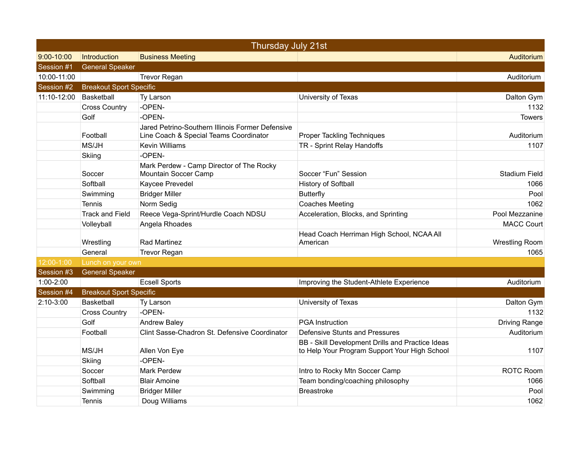| Thursday July 21st |                                |                                                                                            |                                                                                                   |                       |  |
|--------------------|--------------------------------|--------------------------------------------------------------------------------------------|---------------------------------------------------------------------------------------------------|-----------------------|--|
| $9:00 - 10:00$     | Introduction                   | <b>Business Meeting</b>                                                                    |                                                                                                   | Auditorium            |  |
| Session #1         | <b>General Speaker</b>         |                                                                                            |                                                                                                   |                       |  |
| 10:00-11:00        |                                | <b>Trevor Regan</b>                                                                        |                                                                                                   | Auditorium            |  |
| Session #2         | <b>Breakout Sport Specific</b> |                                                                                            |                                                                                                   |                       |  |
| 11:10-12:00        | Basketball                     | Ty Larson                                                                                  | University of Texas                                                                               | Dalton Gym            |  |
|                    | <b>Cross Country</b>           | -OPEN-                                                                                     |                                                                                                   | 1132                  |  |
|                    | Golf                           | -OPEN-                                                                                     |                                                                                                   | <b>Towers</b>         |  |
|                    | Football                       | Jared Petrino-Southern Illinois Former Defensive<br>Line Coach & Special Teams Coordinator | <b>Proper Tackling Techniques</b>                                                                 | Auditorium            |  |
|                    | MS/JH                          | <b>Kevin Williams</b>                                                                      | TR - Sprint Relay Handoffs                                                                        | 1107                  |  |
|                    | Skiing                         | -OPEN-                                                                                     |                                                                                                   |                       |  |
|                    | Soccer                         | Mark Perdew - Camp Director of The Rocky<br>Mountain Soccer Camp                           | Soccer "Fun" Session                                                                              | <b>Stadium Field</b>  |  |
|                    | Softball                       | Kaycee Prevedel                                                                            | <b>History of Softball</b>                                                                        | 1066                  |  |
|                    | Swimming                       | <b>Bridger Miller</b>                                                                      | <b>Butterfly</b>                                                                                  | Pool                  |  |
|                    | Tennis                         | Norm Sedig                                                                                 | <b>Coaches Meeting</b>                                                                            | 1062                  |  |
|                    | <b>Track and Field</b>         | Reece Vega-Sprint/Hurdle Coach NDSU                                                        | Acceleration, Blocks, and Sprinting                                                               | Pool Mezzanine        |  |
|                    | Volleyball                     | Angela Rhoades                                                                             |                                                                                                   | <b>MACC Court</b>     |  |
|                    | Wrestling                      | Rad Martinez                                                                               | Head Coach Herriman High School, NCAA All<br>American                                             | <b>Wrestling Room</b> |  |
|                    | General                        | Trevor Regan                                                                               |                                                                                                   | 1065                  |  |
| 12:00-1:00         | Lunch on your own              |                                                                                            |                                                                                                   |                       |  |
| Session #3         | <b>General Speaker</b>         |                                                                                            |                                                                                                   |                       |  |
| 1:00-2:00          |                                | <b>Ecsell Sports</b>                                                                       | Improving the Student-Athlete Experience                                                          | Auditorium            |  |
| Session #4         | <b>Breakout Sport Specific</b> |                                                                                            |                                                                                                   |                       |  |
| 2:10-3:00          | <b>Basketball</b>              | Ty Larson                                                                                  | University of Texas                                                                               | Dalton Gym            |  |
|                    | <b>Cross Country</b>           | -OPEN-                                                                                     |                                                                                                   | 1132                  |  |
|                    | Golf                           | <b>Andrew Baley</b>                                                                        | <b>PGA</b> Instruction                                                                            | <b>Driving Range</b>  |  |
|                    | Football                       | Clint Sasse-Chadron St. Defensive Coordinator                                              | Defensive Stunts and Pressures                                                                    | Auditorium            |  |
|                    | MS/JH                          | Allen Von Eye                                                                              | BB - Skill Development Drills and Practice Ideas<br>to Help Your Program Support Your High School | 1107                  |  |
|                    | Skiing                         | -OPEN-                                                                                     |                                                                                                   |                       |  |
|                    | Soccer                         | <b>Mark Perdew</b>                                                                         | Intro to Rocky Mtn Soccer Camp                                                                    | <b>ROTC Room</b>      |  |
|                    | Softball                       | <b>Blair Amoine</b>                                                                        | Team bonding/coaching philosophy                                                                  | 1066                  |  |
|                    | Swimming                       | <b>Bridger Miller</b>                                                                      | <b>Breastroke</b>                                                                                 | Pool                  |  |
|                    | Tennis                         | Doug Williams                                                                              |                                                                                                   | 1062                  |  |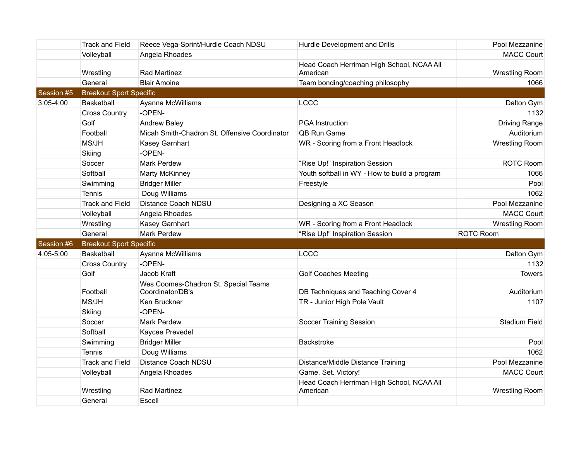|            | <b>Track and Field</b>         | Reece Vega-Sprint/Hurdle Coach NDSU                      | Hurdle Development and Drills                         | Pool Mezzanine        |
|------------|--------------------------------|----------------------------------------------------------|-------------------------------------------------------|-----------------------|
|            | Volleyball                     | Angela Rhoades                                           |                                                       | <b>MACC Court</b>     |
|            | Wrestling                      | Rad Martinez                                             | Head Coach Herriman High School, NCAA All<br>American | <b>Wrestling Room</b> |
|            | General                        | <b>Blair Amoine</b>                                      | Team bonding/coaching philosophy                      | 1066                  |
| Session #5 | <b>Breakout Sport Specific</b> |                                                          |                                                       |                       |
| 3:05-4:00  | Basketball                     | Ayanna McWilliams                                        | LCCC                                                  | Dalton Gym            |
|            | <b>Cross Country</b>           | -OPEN-                                                   |                                                       | 1132                  |
|            | Golf                           | <b>Andrew Baley</b>                                      | <b>PGA</b> Instruction                                | <b>Driving Range</b>  |
|            | Football                       | Micah Smith-Chadron St. Offensive Coordinator            | QB Run Game                                           | Auditorium            |
|            | MS/JH                          | Kasey Garnhart                                           | WR - Scoring from a Front Headlock                    | Wrestling Room        |
|            | Skiing                         | -OPEN-                                                   |                                                       |                       |
|            | Soccer                         | <b>Mark Perdew</b>                                       | "Rise Up!" Inspiration Session                        | <b>ROTC Room</b>      |
|            | Softball                       | <b>Marty McKinney</b>                                    | Youth softball in WY - How to build a program         | 1066                  |
|            | Swimming                       | <b>Bridger Miller</b>                                    | Freestyle                                             | Pool                  |
|            | Tennis                         | Doug Williams                                            |                                                       | 1062                  |
|            | <b>Track and Field</b>         | Distance Coach NDSU                                      | Designing a XC Season                                 | Pool Mezzanine        |
|            | Volleyball                     | Angela Rhoades                                           |                                                       | <b>MACC Court</b>     |
|            | Wrestling                      | Kasey Garnhart                                           | WR - Scoring from a Front Headlock                    | <b>Wrestling Room</b> |
|            | General                        | <b>Mark Perdew</b>                                       | "Rise Up!" Inspiration Session                        | <b>ROTC Room</b>      |
| Session #6 | <b>Breakout Sport Specific</b> |                                                          |                                                       |                       |
| 4:05-5:00  | <b>Basketball</b>              | Ayanna McWilliams                                        | <b>LCCC</b>                                           | Dalton Gym            |
|            | <b>Cross Country</b>           | -OPEN-                                                   |                                                       | 1132                  |
|            | Golf                           | Jacob Kraft                                              | <b>Golf Coaches Meeting</b>                           | <b>Towers</b>         |
|            | Football                       | Wes Coomes-Chadron St. Special Teams<br>Coordinator/DB's | DB Techniques and Teaching Cover 4                    | Auditorium            |
|            | MS/JH                          | Ken Bruckner                                             | TR - Junior High Pole Vault                           | 1107                  |
|            | Skiing                         | -OPEN-                                                   |                                                       |                       |
|            | Soccer                         | <b>Mark Perdew</b>                                       | Soccer Training Session                               | <b>Stadium Field</b>  |
|            | Softball                       | Kaycee Prevedel                                          |                                                       |                       |
|            | Swimming                       | <b>Bridger Miller</b>                                    | <b>Backstroke</b>                                     | Pool                  |
|            | Tennis                         | Doug Williams                                            |                                                       | 1062                  |
|            | <b>Track and Field</b>         | Distance Coach NDSU                                      | Distance/Middle Distance Training                     | Pool Mezzanine        |
|            | Volleyball                     | Angela Rhoades                                           | Game. Set. Victory!                                   | <b>MACC Court</b>     |
|            | Wrestling                      | Rad Martinez                                             | Head Coach Herriman High School, NCAA All<br>American | <b>Wrestling Room</b> |
|            | General                        | Escell                                                   |                                                       |                       |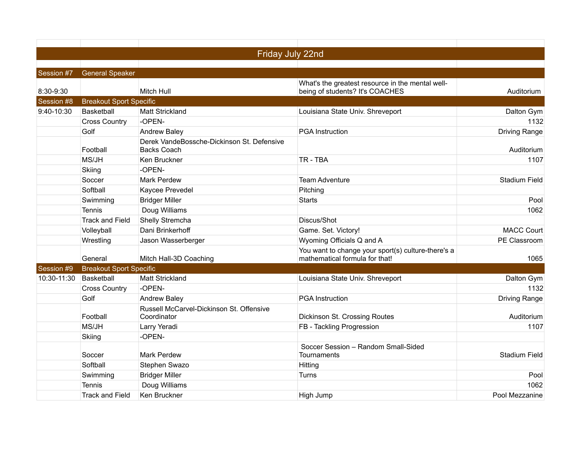|             |                                | Friday July 22nd                                          |                                                                                      |                      |
|-------------|--------------------------------|-----------------------------------------------------------|--------------------------------------------------------------------------------------|----------------------|
|             |                                |                                                           |                                                                                      |                      |
| Session #7  | <b>General Speaker</b>         |                                                           |                                                                                      |                      |
| 8:30-9:30   |                                | Mitch Hull                                                | What's the greatest resource in the mental well-<br>being of students? It's COACHES  | Auditorium           |
| Session #8  | <b>Breakout Sport Specific</b> |                                                           |                                                                                      |                      |
| 9:40-10:30  | Basketball                     | <b>Matt Strickland</b>                                    | Louisiana State Univ. Shreveport                                                     | Dalton Gym           |
|             | <b>Cross Country</b>           | -OPEN-                                                    |                                                                                      | 1132                 |
|             | Golf                           | <b>Andrew Baley</b>                                       | <b>PGA</b> Instruction                                                               | <b>Driving Range</b> |
|             | Football                       | Derek VandeBossche-Dickinson St. Defensive<br>Backs Coach |                                                                                      | Auditorium           |
|             | MS/JH                          | Ken Bruckner                                              | TR - TBA                                                                             | 1107                 |
|             | Skiing                         | -OPEN-                                                    |                                                                                      |                      |
|             | Soccer                         | <b>Mark Perdew</b>                                        | <b>Team Adventure</b>                                                                | <b>Stadium Field</b> |
|             | Softball                       | Kaycee Prevedel                                           | Pitching                                                                             |                      |
|             | Swimming                       | <b>Bridger Miller</b>                                     | <b>Starts</b>                                                                        | Pool                 |
|             | Tennis                         | Doug Williams                                             |                                                                                      | 1062                 |
|             | <b>Track and Field</b>         | Shelly Stremcha                                           | Discus/Shot                                                                          |                      |
|             | Volleyball                     | Dani Brinkerhoff                                          | Game. Set. Victory!                                                                  | <b>MACC Court</b>    |
|             | Wrestling                      | Jason Wasserberger                                        | Wyoming Officials Q and A                                                            | PE Classroom         |
|             | General                        | Mitch Hall-3D Coaching                                    | You want to change your sport(s) culture-there's a<br>mathematical formula for that! | 1065                 |
| Session #9  | <b>Breakout Sport Specific</b> |                                                           |                                                                                      |                      |
| 10:30-11:30 | Basketball                     | Matt Strickland                                           | Louisiana State Univ. Shreveport                                                     | Dalton Gym           |
|             | <b>Cross Country</b>           | -OPEN-                                                    |                                                                                      | 1132                 |
|             | Golf                           | <b>Andrew Baley</b>                                       | <b>PGA</b> Instruction                                                               | <b>Driving Range</b> |
|             | Football                       | Russell McCarvel-Dickinson St. Offensive<br>Coordinator   | Dickinson St. Crossing Routes                                                        | Auditorium           |
|             | MS/JH                          | Larry Yeradi                                              | FB - Tackling Progression                                                            | 1107                 |
|             | Skiing                         | -OPEN-                                                    |                                                                                      |                      |
|             | Soccer                         | Mark Perdew                                               | Soccer Session - Random Small-Sided<br>Tournaments                                   | Stadium Field        |
|             | Softball                       | Stephen Swazo                                             | Hitting                                                                              |                      |
|             | Swimming                       | <b>Bridger Miller</b>                                     | Turns                                                                                | Pool                 |
|             | Tennis                         | Doug Williams                                             |                                                                                      | 1062                 |
|             | <b>Track and Field</b>         | Ken Bruckner                                              | High Jump                                                                            | Pool Mezzanine       |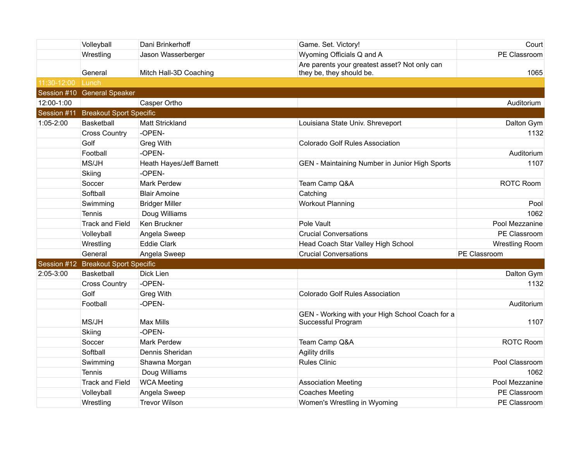|             | Volleyball                     | Dani Brinkerhoff         | Game. Set. Victory!                                                   | Court                 |
|-------------|--------------------------------|--------------------------|-----------------------------------------------------------------------|-----------------------|
|             | Wrestling                      | Jason Wasserberger       | Wyoming Officials Q and A                                             | PE Classroom          |
|             |                                |                          | Are parents your greatest asset? Not only can                         |                       |
|             | General                        | Mitch Hall-3D Coaching   | they be, they should be.                                              | 1065                  |
| 11:30-12:00 | Lunch                          |                          |                                                                       |                       |
|             | Session #10 General Speaker    |                          |                                                                       |                       |
| 12:00-1:00  |                                | Casper Ortho             |                                                                       | Auditorium            |
| Session #11 | <b>Breakout Sport Specific</b> |                          |                                                                       |                       |
| 1:05-2:00   | Basketball                     | Matt Strickland          | Louisiana State Univ. Shreveport                                      | Dalton Gym            |
|             | <b>Cross Country</b>           | -OPEN-                   |                                                                       | 1132                  |
|             | Golf                           | <b>Greg With</b>         | <b>Colorado Golf Rules Association</b>                                |                       |
|             | Football                       | -OPEN-                   |                                                                       | Auditorium            |
|             | MS/JH                          | Heath Hayes/Jeff Barnett | GEN - Maintaining Number in Junior High Sports                        | 1107                  |
|             | Skiing                         | -OPEN-                   |                                                                       |                       |
|             | Soccer                         | <b>Mark Perdew</b>       | Team Camp Q&A                                                         | <b>ROTC Room</b>      |
|             | Softball                       | <b>Blair Amoine</b>      | Catching                                                              |                       |
|             | Swimming                       | <b>Bridger Miller</b>    | <b>Workout Planning</b>                                               | Pool                  |
|             | <b>Tennis</b>                  | Doug Williams            |                                                                       | 1062                  |
|             | <b>Track and Field</b>         | Ken Bruckner             | Pole Vault                                                            | Pool Mezzanine        |
|             | Volleyball                     | Angela Sweep             | <b>Crucial Conversations</b>                                          | PE Classroom          |
|             | Wrestling                      | <b>Eddie Clark</b>       | Head Coach Star Valley High School                                    | <b>Wrestling Room</b> |
|             | General                        | Angela Sweep             | <b>Crucial Conversations</b>                                          | PE Classroom          |
| Session #12 | <b>Breakout Sport Specific</b> |                          |                                                                       |                       |
| 2:05-3:00   | <b>Basketball</b>              | Dick Lien                |                                                                       | Dalton Gym            |
|             | <b>Cross Country</b>           | -OPEN-                   |                                                                       | 1132                  |
|             | Golf                           | <b>Greg With</b>         | Colorado Golf Rules Association                                       |                       |
|             | Football                       | -OPEN-                   |                                                                       | Auditorium            |
|             | MS/JH                          | Max Mills                | GEN - Working with your High School Coach for a<br>Successful Program | 1107                  |
|             | Skiing                         | -OPEN-                   |                                                                       |                       |
|             | Soccer                         | <b>Mark Perdew</b>       | Team Camp Q&A                                                         | <b>ROTC Room</b>      |
|             | Softball                       | Dennis Sheridan          | Agility drills                                                        |                       |
|             | Swimming                       | Shawna Morgan            | <b>Rules Clinic</b>                                                   | Pool Classroom        |
|             | Tennis                         | Doug Williams            |                                                                       | 1062                  |
|             | <b>Track and Field</b>         | <b>WCA Meeting</b>       | <b>Association Meeting</b>                                            | Pool Mezzanine        |
|             | Volleyball                     | Angela Sweep             | <b>Coaches Meeting</b>                                                | PE Classroom          |
|             | Wrestling                      | <b>Trevor Wilson</b>     | Women's Wrestling in Wyoming                                          | PE Classroom          |